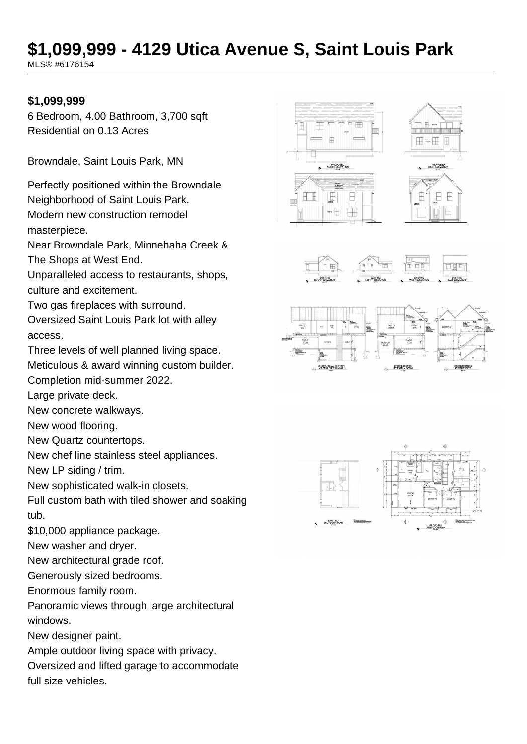# **\$1,099,999 - 4129 Utica Avenue S, Saint Louis Park**

MLS® #6176154

#### **\$1,099,999**

6 Bedroom, 4.00 Bathroom, 3,700 sqft Residential on 0.13 Acres

Browndale, Saint Louis Park, MN

Perfectly positioned within the Browndale Neighborhood of Saint Louis Park.

Modern new construction remodel

masterpiece.

Near Browndale Park, Minnehaha Creek & The Shops at West End.

Unparalleled access to restaurants, shops, culture and excitement.

Two gas fireplaces with surround.

Oversized Saint Louis Park lot with alley access.

Three levels of well planned living space.

Meticulous & award winning custom builder.

Completion mid-summer 2022.

Large private deck.

New concrete walkways.

New wood flooring.

New Quartz countertops.

New chef line stainless steel appliances.

New LP siding / trim.

New sophisticated walk-in closets.

Full custom bath with tiled shower and soaking tub.

\$10,000 appliance package.

New washer and dryer.

New architectural grade roof.

Generously sized bedrooms.

Enormous family room.

Panoramic views through large architectural windows.

New designer paint.

Ample outdoor living space with privacy.

Oversized and lifted garage to accommodate full size vehicles.







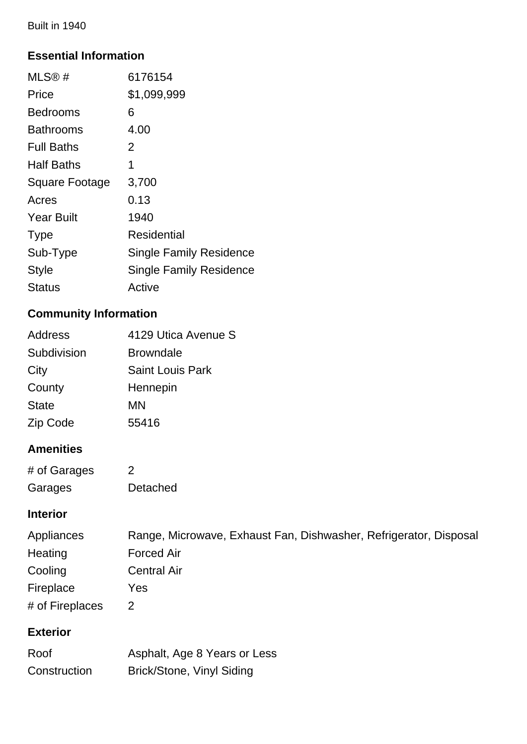Built in 1940

### **Essential Information**

| MLS@#             | 6176154                        |
|-------------------|--------------------------------|
| Price             | \$1,099,999                    |
| Bedrooms          | 6                              |
| Bathrooms         | 4.00                           |
| <b>Full Baths</b> | 2                              |
| <b>Half Baths</b> | 1                              |
| Square Footage    | 3,700                          |
| Acres             | 0.13                           |
| <b>Year Built</b> | 1940                           |
| <b>Type</b>       | Residential                    |
| Sub-Type          | Single Family Residence        |
| <b>Style</b>      | <b>Single Family Residence</b> |
| Status            | Active                         |
|                   |                                |

## **Community Information**

| <b>Address</b> | 4129 Utica Avenue S     |
|----------------|-------------------------|
| Subdivision    | <b>Browndale</b>        |
| City           | <b>Saint Louis Park</b> |
| County         | Hennepin                |
| <b>State</b>   | MN                      |
| Zip Code       | 55416                   |

## **Amenities**

| # of Garages | 2        |
|--------------|----------|
| Garages      | Detached |

### **Interior**

| Appliances      | Range, Microwave, Exhaust Fan, Dishwasher, Refrigerator, Disposal |
|-----------------|-------------------------------------------------------------------|
| Heating         | <b>Forced Air</b>                                                 |
| Cooling         | <b>Central Air</b>                                                |
| Fireplace       | Yes                                                               |
| # of Fireplaces |                                                                   |

## **Exterior**

| Roof         | Asphalt, Age 8 Years or Less |
|--------------|------------------------------|
| Construction | Brick/Stone, Vinyl Siding    |